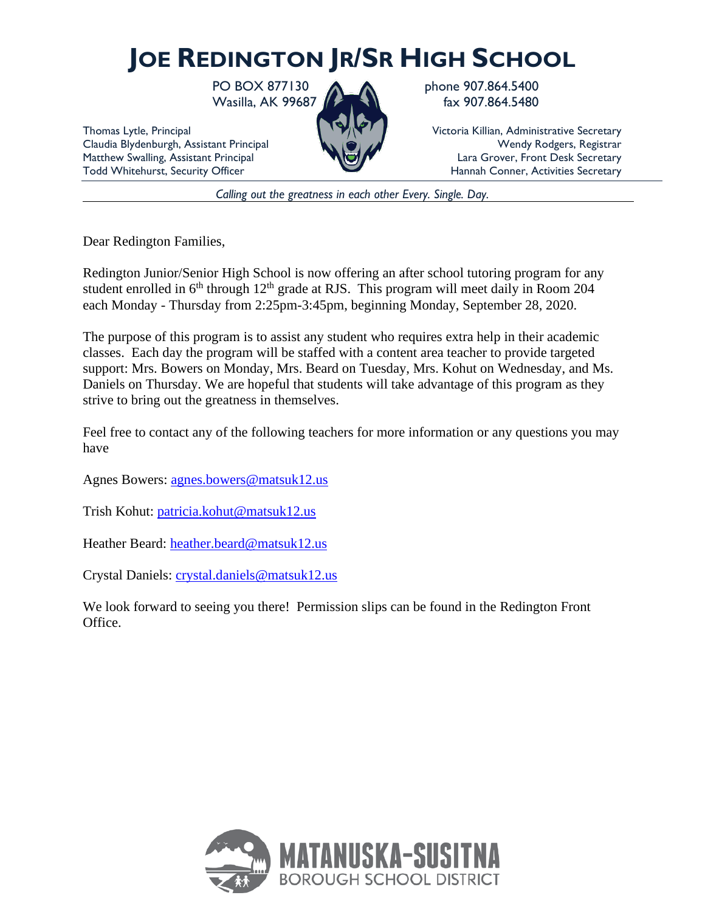## **JOE REDINGTON JR/SR HIGH SCHOOL**

Wasilla, AK 99687 **Fax 907.864.5480** 

PO BOX 877130 **A A** phone 907.864.5400

Thomas Lytle, Principal Victoria Killian, Administrative Secretary Claudia Blydenburgh, Assistant Principal Wendy Rodgers, Registrar Wendy Rodgers, Registrar Matthew Swalling, Assistant Principal Lara Grover, Front Desk Secretary<br>
Todd Whitehurst, Security Officer Hannah Conner, Activities Secretary Hannah Conner, Activities Secretary

*Calling out the greatness in each other Every. Single. Day.*

Dear Redington Families,

Redington Junior/Senior High School is now offering an after school tutoring program for any student enrolled in  $6<sup>th</sup>$  through  $12<sup>th</sup>$  grade at RJS. This program will meet daily in Room 204 each Monday - Thursday from 2:25pm-3:45pm, beginning Monday, September 28, 2020.

The purpose of this program is to assist any student who requires extra help in their academic classes. Each day the program will be staffed with a content area teacher to provide targeted support: Mrs. Bowers on Monday, Mrs. Beard on Tuesday, Mrs. Kohut on Wednesday, and Ms. Daniels on Thursday. We are hopeful that students will take advantage of this program as they strive to bring out the greatness in themselves.

Feel free to contact any of the following teachers for more information or any questions you may have

Agnes Bowers: [agnes.bowers@matsuk12.us](mailto:agnes.bowers@matsuk12.us)

Trish Kohut: [patricia.kohut@matsuk12.us](mailto:patricia.kohut@matsuk12.us)

Heather Beard: [heather.beard@matsuk12.us](mailto:heather.beard@matsuk12.us)

Crystal Daniels: [crystal.daniels@matsuk12.us](mailto:crystal.daniels@matsuk12.us)

We look forward to seeing you there! Permission slips can be found in the Redington Front Office.

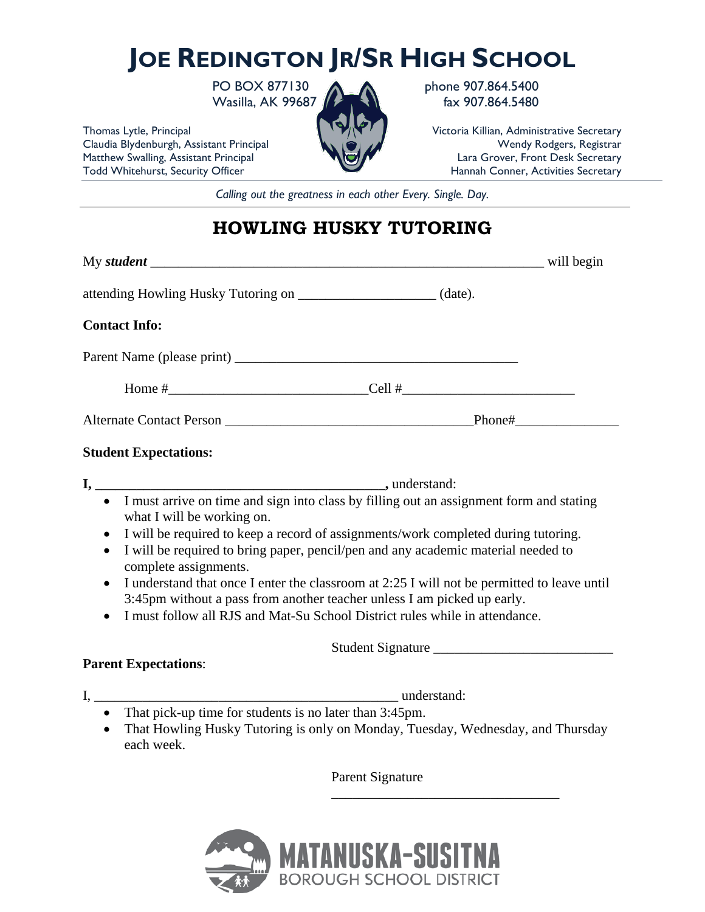## **JOE REDINGTON JR/SR HIGH SCHOOL**

PO BOX 877130 **A** phone 907.864.5400 Wasilla, AK 99687 **fax 907.864.5480** 

Thomas Lytle, Principal Victoria Killian, Administrative Secretary

Claudia Blydenburgh, Assistant Principal Wendy Rodgers, Registrar Wendy Rodgers, Registrar Matthew Swalling, Assistant Principal Lara Grover, Front Desk Secretary<br>
Todd Whitehurst, Security Officer Hannah Conner, Activities Secretary Hannah Conner, Activities Secretary

*Calling out the greatness in each other Every. Single. Day.*

## **HOWLING HUSKY TUTORING**

| <b>Contact Info:</b>                            |                                                                                                                                                                         |  |
|-------------------------------------------------|-------------------------------------------------------------------------------------------------------------------------------------------------------------------------|--|
|                                                 |                                                                                                                                                                         |  |
|                                                 |                                                                                                                                                                         |  |
|                                                 |                                                                                                                                                                         |  |
| <b>Student Expectations:</b>                    |                                                                                                                                                                         |  |
|                                                 |                                                                                                                                                                         |  |
| what I will be working on.                      | • I must arrive on time and sign into class by filling out an assignment form and stating                                                                               |  |
| $\bullet$<br>$\bullet$<br>complete assignments. | I will be required to keep a record of assignments/work completed during tutoring.<br>I will be required to bring paper, pencil/pen and any academic material needed to |  |
| $\bullet$                                       | I understand that once I enter the classroom at 2:25 I will not be permitted to leave until<br>3:45pm without a pass from another teacher unless I am picked up early.  |  |
|                                                 | I must follow all RJS and Mat-Su School District rules while in attendance.                                                                                             |  |
|                                                 |                                                                                                                                                                         |  |
| <b>Parent Expectations:</b>                     |                                                                                                                                                                         |  |
|                                                 |                                                                                                                                                                         |  |
|                                                 | • That pick-up time for students is no later than 3:45pm.<br>• That Howling Husky Tutoring is only on Monday Tuesday Wednesday and Thursday                             |  |

• That Howling Husky Tutoring is only on Monday, Tuesday, Wednesday, and Thursday each week.

Parent Signature

\_\_\_\_\_\_\_\_\_\_\_\_\_\_\_\_\_\_\_\_\_\_\_\_\_\_\_\_\_\_\_\_\_